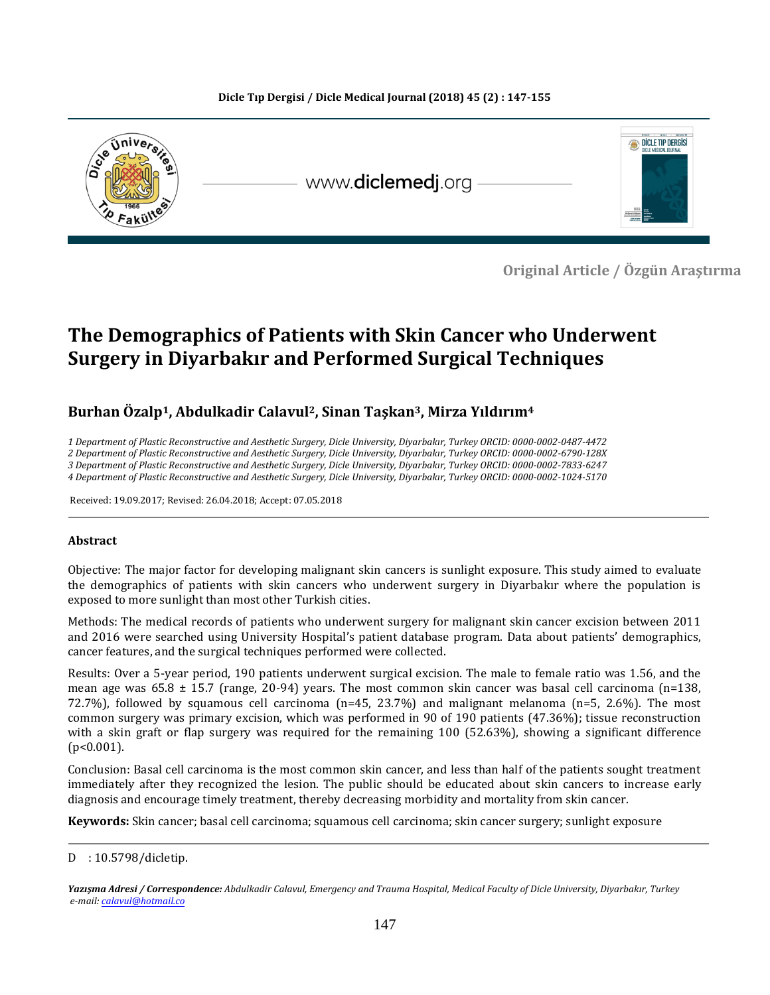

 **Original Article / Özgün Araştırma** 

# **The Demographics of Patients with Skin Cancer who Underwent Surgery in Diyarbakır and Performed Surgical Techniques**

## **Burhan Özalp1, Abdulkadir Calavul2, Sinan Taşkan3, Mirza Yıldırım<sup>4</sup>**

*1 Department of Plastic Reconstructive and Aesthetic Surgery, Dicle University, Diyarbakır, Turkey ORCID: 0000-0002-0487-4472 2 Department of Plastic Reconstructive and Aesthetic Surgery, Dicle University, Diyarbakır, Turkey ORCID: 0000-0002-6790-128X*

*3 Department of Plastic Reconstructive and Aesthetic Surgery, Dicle University, Diyarbakır, Turkey ORCID: 0000-0002-7833-6247*

*4 Department of Plastic Reconstructive and Aesthetic Surgery, Dicle University, Diyarbakır, Turkey ORCID: 0000-0002-1024-5170*

Received: 19.09.2017; Revised: 26.04.2018; Accept: 07.05.2018

#### **Abstract**

Objective: The major factor for developing malignant skin cancers is sunlight exposure. This study aimed to evaluate the demographics of patients with skin cancers who underwent surgery in Diyarbakır where the population is exposed to more sunlight than most other Turkish cities.

Methods: The medical records of patients who underwent surgery for malignant skin cancer excision between 2011 and 2016 were searched using University Hospital's patient database program. Data about patients' demographics, cancer features, and the surgical techniques performed were collected.

Results: Over a 5-year period, 190 patients underwent surgical excision. The male to female ratio was 1.56, and the mean age was  $65.8 \pm 15.7$  (range, 20-94) years. The most common skin cancer was basal cell carcinoma (n=138, 72.7%), followed by squamous cell carcinoma (n=45, 23.7%) and malignant melanoma (n=5, 2.6%). The most common surgery was primary excision, which was performed in 90 of 190 patients (47.36%); tissue reconstruction with a skin graft or flap surgery was required for the remaining 100 (52.63%), showing a significant difference (p<0.001).

Conclusion: Basal cell carcinoma is the most common skin cancer, and less than half of the patients sought treatment immediately after they recognized the lesion. The public should be educated about skin cancers to increase early diagnosis and encourage timely treatment, thereby decreasing morbidity and mortality from skin cancer.

**Keywords:** Skin cancer; basal cell carcinoma; squamous cell carcinoma; skin cancer surgery; sunlight exposure

 $D$  : 10.5798/dicletip.vtv $\frac{1}{2}$ s

*Yazışma Adresi / Correspondence: Abdulkadir Calavul, Emergency and Trauma Hospital, Medical Faculty of Dicle University, Diyarbakır, Turkey e-mail[: calavul@hotmail.co](mailto:calavul@hotmail.co)*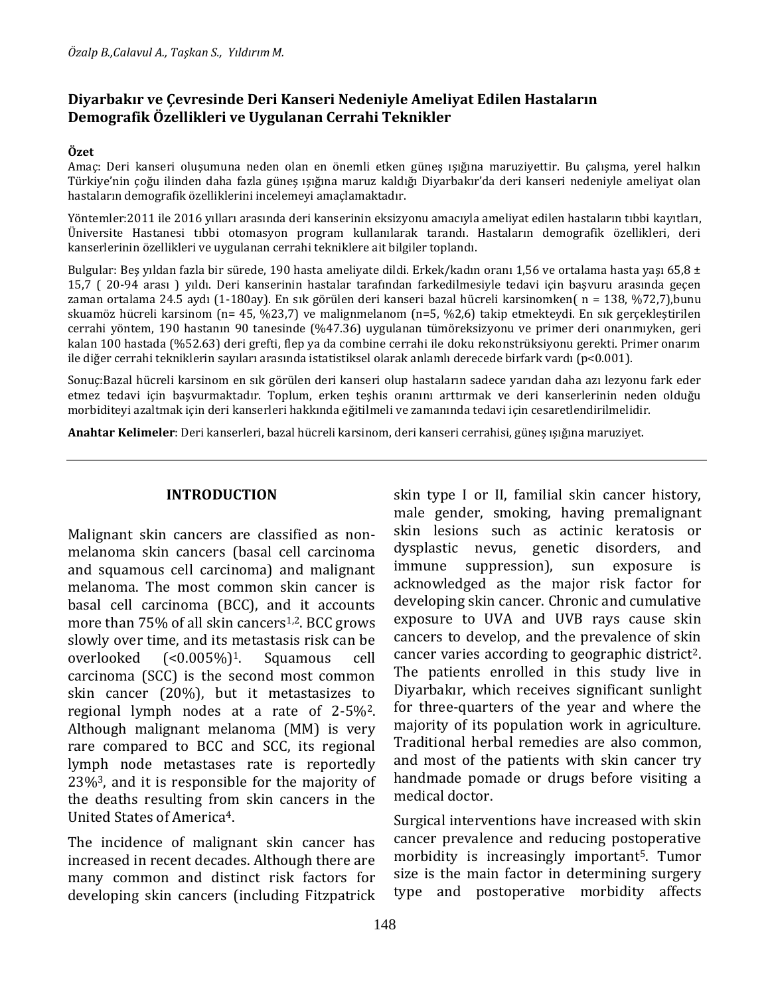# **Diyarbakır ve Çevresinde Deri Kanseri Nedeniyle Ameliyat Edilen Hastaların Demografik Özellikleri ve Uygulanan Cerrahi Teknikler**

#### **Özet**

Amaç: Deri kanseri oluşumuna neden olan en önemli etken güneş ışığına maruziyettir. Bu çalışma, yerel halkın Türkiye'nin çoğu ilinden daha fazla güneş ışığına maruz kaldığı Diyarbakır'da deri kanseri nedeniyle ameliyat olan hastaların demografik özelliklerini incelemeyi amaçlamaktadır.

Yöntemler:2011 ile 2016 yılları arasında deri kanserinin eksizyonu amacıyla ameliyat edilen hastaların tıbbi kayıtları, Üniversite Hastanesi tıbbi otomasyon program kullanılarak tarandı. Hastaların demografik özellikleri, deri kanserlerinin özellikleri ve uygulanan cerrahi tekniklere ait bilgiler toplandı.

Bulgular: Bes yıldan fazla bir sürede, 190 hasta ameliyate dildi. Erkek/kadın oranı 1,56 ve ortalama hasta yaşı 65,8 ± 15,7 ( 20-94 arası ) yıldı. Deri kanserinin hastalar tarafından farkedilmesiyle tedavi için başvuru arasında geçen zaman ortalama 24.5 aydı (1-180ay). En sık görülen deri kanseri bazal hücreli karsinomken( n = 138, %72,7),bunu skuamöz hücreli karsinom (n= 45, %23,7) ve malignmelanom (n=5, %2,6) takip etmekteydi. En sık gerçekleştirilen cerrahi yöntem, 190 hastanın 90 tanesinde (%47.36) uygulanan tümöreksizyonu ve primer deri onarımıyken, geri kalan 100 hastada (%52.63) deri grefti, flep ya da combine cerrahi ile doku rekonstrüksiyonu gerekti. Primer onarım ile diğer cerrahi tekniklerin sayıları arasında istatistiksel olarak anlamlı derecede birfark vardı (p<0.001).

Sonuç:Bazal hücreli karsinom en sık görülen deri kanseri olup hastaların sadece yarıdan daha azı lezyonu fark eder etmez tedavi için başvurmaktadır. Toplum, erken teşhis oranını arttırmak ve deri kanserlerinin neden olduğu morbiditeyi azaltmak için deri kanserleri hakkında eğitilmeli ve zamanında tedavi için cesaretlendirilmelidir.

**Anahtar Kelimeler**: Deri kanserleri, bazal hücreli karsinom, deri kanseri cerrahisi, güneş ışığına maruziyet.

#### **INTRODUCTION**

Malignant skin cancers are classified as nonmelanoma skin cancers (basal cell carcinoma and squamous cell carcinoma) and malignant melanoma. The most common skin cancer is basal cell carcinoma (BCC), and it accounts more than 75% of all skin cancers<sup>1,2</sup>. BCC grows slowly over time, and its metastasis risk can be overlooked (<0.005%)1. Squamous cell carcinoma (SCC) is the second most common skin cancer (20%), but it metastasizes to regional lymph nodes at a rate of 2-5%2. Although malignant melanoma (MM) is very rare compared to BCC and SCC, its regional lymph node metastases rate is reportedly 23%3, and it is responsible for the majority of the deaths resulting from skin cancers in the United States of America4.

The incidence of malignant skin cancer has increased in recent decades. Although there are many common and distinct risk factors for developing skin cancers (including Fitzpatrick skin type I or II, familial skin cancer history, male gender, smoking, having premalignant skin lesions such as actinic keratosis or dysplastic nevus, genetic disorders, and immune suppression), sun exposure is acknowledged as the major risk factor for developing skin cancer. Chronic and cumulative exposure to UVA and UVB rays cause skin cancers to develop, and the prevalence of skin cancer varies according to geographic district2. The patients enrolled in this study live in Diyarbakır, which receives significant sunlight for three-quarters of the year and where the majority of its population work in agriculture. Traditional herbal remedies are also common, and most of the patients with skin cancer try handmade pomade or drugs before visiting a medical doctor.

Surgical interventions have increased with skin cancer prevalence and reducing postoperative morbidity is increasingly important<sup>5</sup>. Tumor size is the main factor in determining surgery type and postoperative morbidity affects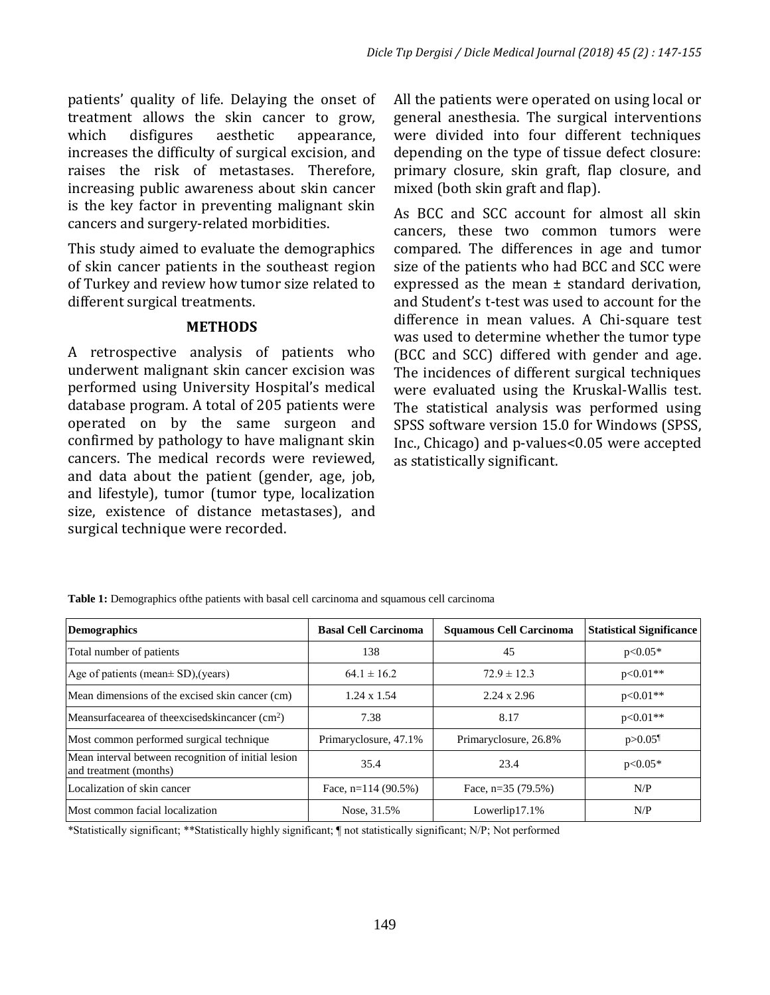patients' quality of life. Delaying the onset of treatment allows the skin cancer to grow, which disfigures aesthetic appearance, increases the difficulty of surgical excision, and raises the risk of metastases. Therefore, increasing public awareness about skin cancer is the key factor in preventing malignant skin cancers and surgery-related morbidities.

This study aimed to evaluate the demographics of skin cancer patients in the southeast region of Turkey and review how tumor size related to different surgical treatments.

## **METHODS**

A retrospective analysis of patients who underwent malignant skin cancer excision was performed using University Hospital's medical database program. A total of 205 patients were operated on by the same surgeon and confirmed by pathology to have malignant skin cancers. The medical records were reviewed, and data about the patient (gender, age, job, and lifestyle), tumor (tumor type, localization size, existence of distance metastases), and surgical technique were recorded.

All the patients were operated on using local or general anesthesia. The surgical interventions were divided into four different techniques depending on the type of tissue defect closure: primary closure, skin graft, flap closure, and mixed (both skin graft and flap).

As BCC and SCC account for almost all skin cancers, these two common tumors were compared. The differences in age and tumor size of the patients who had BCC and SCC were expressed as the mean ± standard derivation, and Student's t-test was used to account for the difference in mean values. A Chi-square test was used to determine whether the tumor type (BCC and SCC) differed with gender and age. The incidences of different surgical techniques were evaluated using the Kruskal-Wallis test. The statistical analysis was performed using SPSS software version 15.0 for Windows (SPSS, Inc., Chicago) and p-values<0.05 were accepted as statistically significant.

| <b>Demographics</b>                                                           | <b>Basal Cell Carcinoma</b> | <b>Squamous Cell Carcinoma</b> | <b>Statistical Significance</b> |
|-------------------------------------------------------------------------------|-----------------------------|--------------------------------|---------------------------------|
| Total number of patients                                                      | 138                         | 45                             | $p<0.05*$                       |
| Age of patients (mean± SD), (years)                                           | $64.1 \pm 16.2$             | $72.9 \pm 12.3$                | $p<0.01**$                      |
| Mean dimensions of the excised skin cancer (cm)                               | $1.24 \times 1.54$          | $2.24 \times 2.96$             | $p<0.01**$                      |
| Meansurfacearea of the excised skin cancer (cm <sup>2</sup> )                 | 7.38                        | 8.17                           | $p<0.01**$                      |
| Most common performed surgical technique                                      | Primaryclosure, 47.1%       | Primaryclosure, 26.8%          | $p > 0.05$ <sup>1</sup>         |
| Mean interval between recognition of initial lesion<br>and treatment (months) | 35.4                        | 23.4                           | $p<0.05*$                       |
| Localization of skin cancer                                                   | Face, $n=114(90.5\%)$       | Face, $n=35(79.5%)$            | N/P                             |
| Most common facial localization                                               | Nose, 31.5%                 | Lowerlip17.1%                  | N/P                             |

**Table 1:** Demographics ofthe patients with basal cell carcinoma and squamous cell carcinoma

\*Statistically significant; \*\*Statistically highly significant; ¶ not statistically significant; N/P; Not performed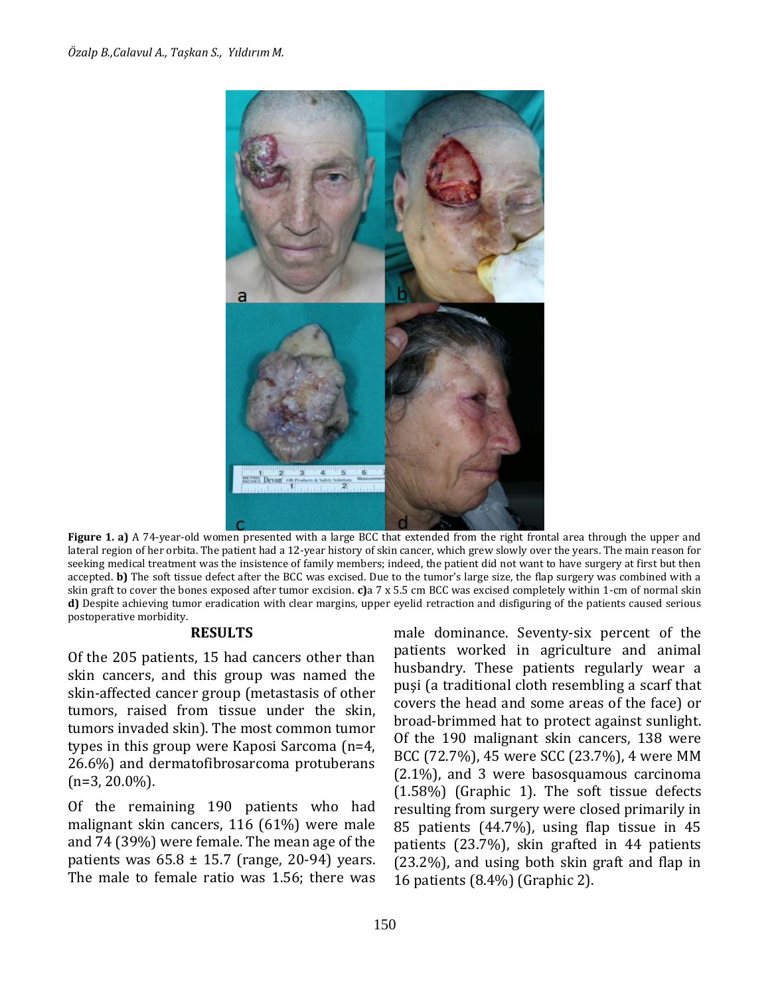

**Figure 1. a)** A 74-year-old women presented with a large BCC that extended from the right frontal area through the upper and lateral region of her orbita. The patient had a 12-year history of skin cancer, which grew slowly over the years. The main reason for seeking medical treatment was the insistence of family members; indeed, the patient did not want to have surgery at first but then accepted. **b)** The soft tissue defect after the BCC was excised. Due to the tumor's large size, the flap surgery was combined with a skin graft to cover the bones exposed after tumor excision. **c)**a 7 x 5.5 cm BCC was excised completely within 1-cm of normal skin **d)** Despite achieving tumor eradication with clear margins, upper eyelid retraction and disfiguring of the patients caused serious postoperative morbidity.

#### **RESULTS**

Of the 205 patients, 15 had cancers other than skin cancers, and this group was named the skin-affected cancer group (metastasis of other tumors, raised from tissue under the skin, tumors invaded skin). The most common tumor types in this group were Kaposi Sarcoma (n=4, 26.6%) and dermatofibrosarcoma protuberans  $(n=3, 20.0\%)$ .

Of the remaining 190 patients who had malignant skin cancers, 116 (61%) were male and 74 (39%) were female. The mean age of the patients was  $65.8 \pm 15.7$  (range, 20-94) years. The male to female ratio was 1.56; there was male dominance. Seventy-six percent of the patients worked in agriculture and animal husbandry. These patients regularly wear a puşi (a traditional cloth resembling a scarf that covers the head and some areas of the face) or broad-brimmed hat to protect against sunlight. Of the 190 malignant skin cancers, 138 were BCC (72.7%), 45 were SCC (23.7%), 4 were MM (2.1%), and 3 were basosquamous carcinoma (1.58%) (Graphic 1). The soft tissue defects resulting from surgery were closed primarily in 85 patients (44.7%), using flap tissue in 45 patients (23.7%), skin grafted in 44 patients (23.2%), and using both skin graft and flap in 16 patients (8.4%) (Graphic 2).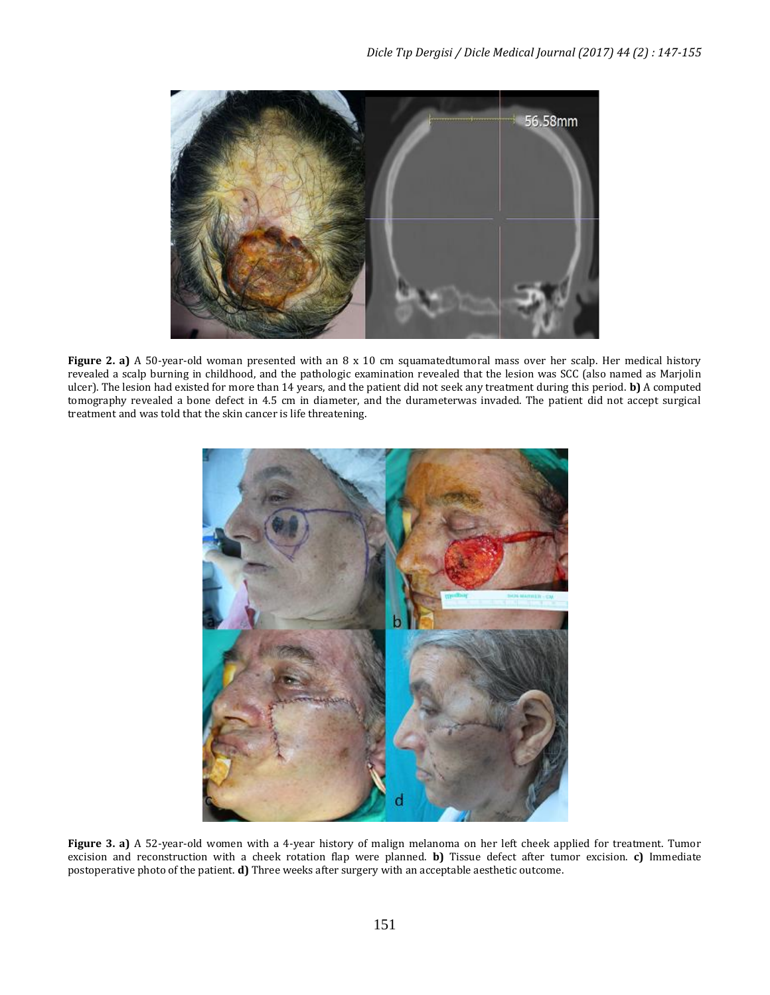

**Figure 2. a)** A 50-year-old woman presented with an 8 x 10 cm squamatedtumoral mass over her scalp. Her medical history revealed a scalp burning in childhood, and the pathologic examination revealed that the lesion was SCC (also named as Marjolin ulcer). The lesion had existed for more than 14 years, and the patient did not seek any treatment during this period. **b)** A computed tomography revealed a bone defect in 4.5 cm in diameter, and the durameterwas invaded. The patient did not accept surgical treatment and was told that the skin cancer is life threatening.



**Figure 3. a)** A 52-year-old women with a 4-year history of malign melanoma on her left cheek applied for treatment. Tumor excision and reconstruction with a cheek rotation flap were planned. **b)** Tissue defect after tumor excision. **c)** Immediate postoperative photo of the patient. **d)** Three weeks after surgery with an acceptable aesthetic outcome.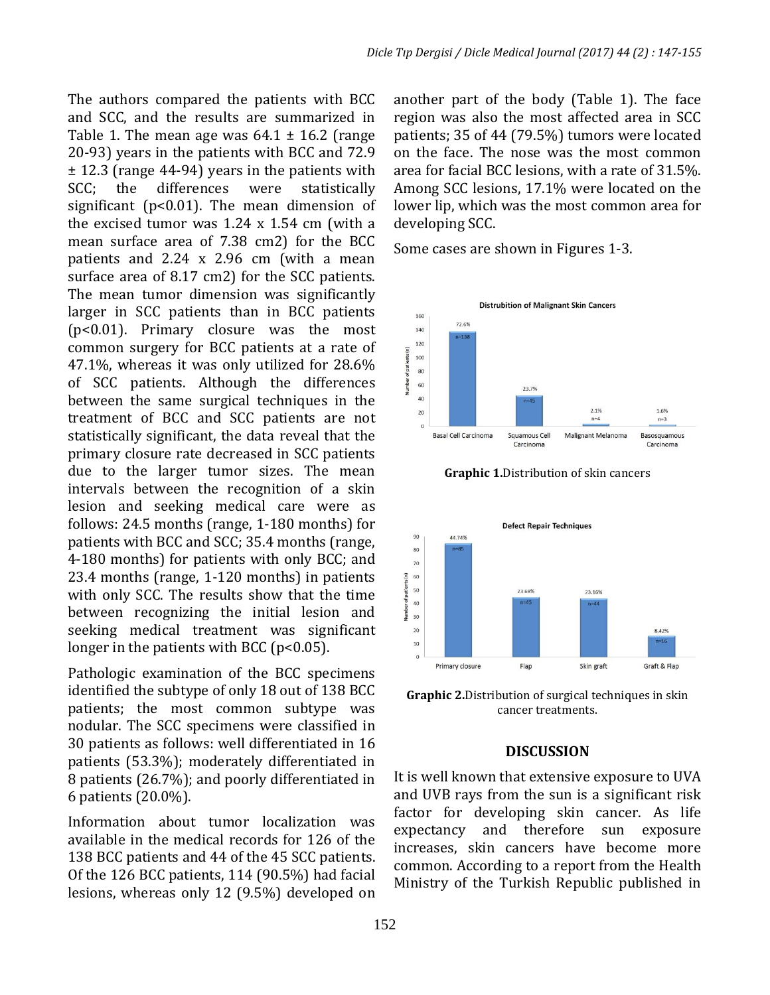The authors compared the patients with BCC and SCC, and the results are summarized in Table 1. The mean age was  $64.1 \pm 16.2$  (range 20-93) years in the patients with BCC and 72.9 ± 12.3 (range 44-94) years in the patients with SCC; the differences were statistically significant (p<0.01). The mean dimension of the excised tumor was 1.24 x 1.54 cm (with a mean surface area of 7.38 cm2) for the BCC patients and 2.24 x 2.96 cm (with a mean surface area of 8.17 cm2) for the SCC patients. The mean tumor dimension was significantly larger in SCC patients than in BCC patients (p<0.01). Primary closure was the most common surgery for BCC patients at a rate of 47.1%, whereas it was only utilized for 28.6% of SCC patients. Although the differences between the same surgical techniques in the treatment of BCC and SCC patients are not statistically significant, the data reveal that the primary closure rate decreased in SCC patients due to the larger tumor sizes. The mean intervals between the recognition of a skin lesion and seeking medical care were as follows: 24.5 months (range, 1-180 months) for patients with BCC and SCC; 35.4 months (range, 4-180 months) for patients with only BCC; and 23.4 months (range, 1-120 months) in patients with only SCC. The results show that the time between recognizing the initial lesion and seeking medical treatment was significant longer in the patients with BCC ( $p<0.05$ ).

Pathologic examination of the BCC specimens identified the subtype of only 18 out of 138 BCC patients; the most common subtype was nodular. The SCC specimens were classified in 30 patients as follows: well differentiated in 16 patients (53.3%); moderately differentiated in 8 patients (26.7%); and poorly differentiated in 6 patients (20.0%).

Information about tumor localization was available in the medical records for 126 of the 138 BCC patients and 44 of the 45 SCC patients. Of the 126 BCC patients, 114 (90.5%) had facial lesions, whereas only 12 (9.5%) developed on

another part of the body (Table 1). The face region was also the most affected area in SCC patients; 35 of 44 (79.5%) tumors were located on the face. The nose was the most common area for facial BCC lesions, with a rate of 31.5%. Among SCC lesions, 17.1% were located on the lower lip, which was the most common area for developing SCC.

Some cases are shown in Figures 1-3.







**Graphic 2.**Distribution of surgical techniques in skin cancer treatments.

# **DISCUSSION**

It is well known that extensive exposure to UVA and UVB rays from the sun is a significant risk factor for developing skin cancer. As life expectancy and therefore sun exposure increases, skin cancers have become more common. According to a report from the Health Ministry of the Turkish Republic published in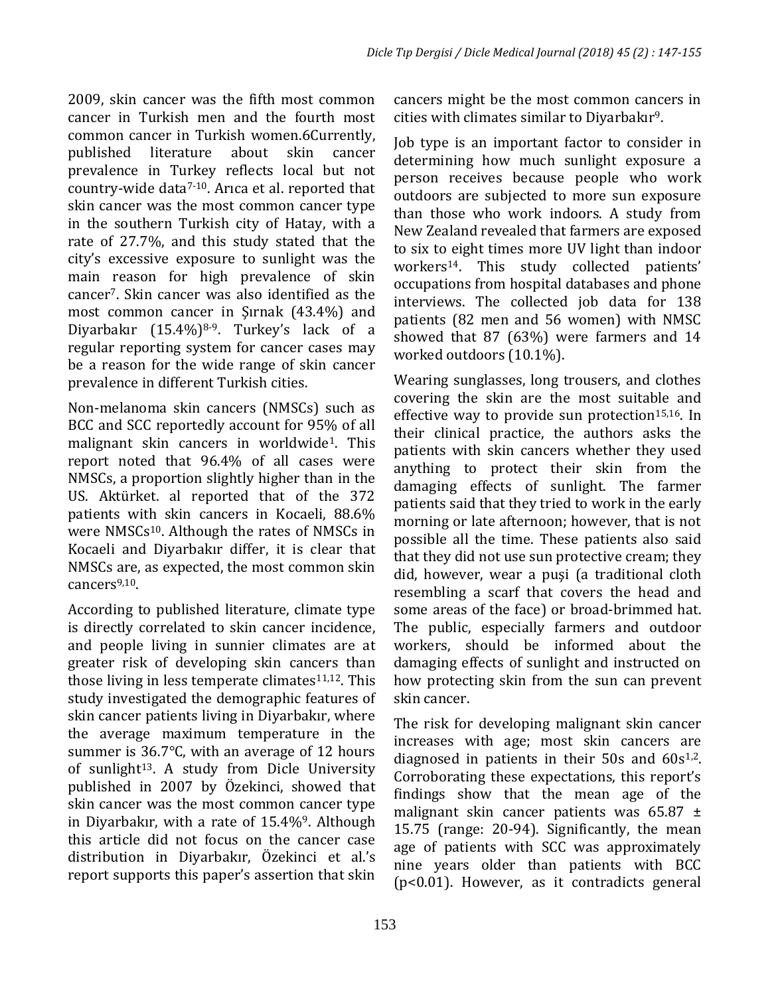2009, skin cancer was the fifth most common cancer in Turkish men and the fourth most common cancer in Turkish women.6Currently, published literature about skin cancer prevalence in Turkey reflects local but not country-wide data7-10. Arıca et al. reported that skin cancer was the most common cancer type in the southern Turkish city of Hatay, with a rate of 27.7%, and this study stated that the city's excessive exposure to sunlight was the main reason for high prevalence of skin cancer7. Skin cancer was also identified as the most common cancer in Şırnak (43.4%) and Diyarbakır (15.4%)<sup>8-9</sup>. Turkey's lack of a regular reporting system for cancer cases may be a reason for the wide range of skin cancer prevalence in different Turkish cities.

Non-melanoma skin cancers (NMSCs) such as BCC and SCC reportedly account for 95% of all malignant skin cancers in worldwide1. This report noted that 96.4% of all cases were NMSCs, a proportion slightly higher than in the US. Aktürket. al reported that of the 372 patients with skin cancers in Kocaeli, 88.6% were NMSCs<sup>10</sup>. Although the rates of NMSCs in Kocaeli and Diyarbakır differ, it is clear that NMSCs are, as expected, the most common skin cancers<sup>9,10</sup>.

According to published literature, climate type is directly correlated to skin cancer incidence, and people living in sunnier climates are at greater risk of developing skin cancers than those living in less temperate climates $11,12$ . This study investigated the demographic features of skin cancer patients living in Diyarbakır, where the average maximum temperature in the summer is 36.7℃, with an average of 12 hours of sunlight<sup>13</sup>. A study from Dicle University published in 2007 by Özekinci, showed that skin cancer was the most common cancer type in Diyarbakır, with a rate of 15.4%<sup>9</sup>. Although this article did not focus on the cancer case distribution in Diyarbakır, Özekinci et al.'s report supports this paper's assertion that skin

cancers might be the most common cancers in cities with climates similar to Diyarbakır9.

Job type is an important factor to consider in determining how much sunlight exposure a person receives because people who work outdoors are subjected to more sun exposure than those who work indoors. A study from New Zealand revealed that farmers are exposed to six to eight times more UV light than indoor workers14. This study collected patients' occupations from hospital databases and phone interviews. The collected job data for 138 patients (82 men and 56 women) with NMSC showed that 87 (63%) were farmers and 14 worked outdoors (10.1%).

Wearing sunglasses, long trousers, and clothes covering the skin are the most suitable and effective way to provide sun protection $15,16$ . In their clinical practice, the authors asks the patients with skin cancers whether they used anything to protect their skin from the damaging effects of sunlight. The farmer patients said that they tried to work in the early morning or late afternoon; however, that is not possible all the time. These patients also said that they did not use sun protective cream; they did, however, wear a puşi (a traditional cloth resembling a scarf that covers the head and some areas of the face) or broad-brimmed hat. The public, especially farmers and outdoor workers, should be informed about the damaging effects of sunlight and instructed on how protecting skin from the sun can prevent skin cancer.

The risk for developing malignant skin cancer increases with age; most skin cancers are diagnosed in patients in their  $50s$  and  $60s^{1,2}$ . Corroborating these expectations, this report's findings show that the mean age of the malignant skin cancer patients was  $65.87 \pm$ 15.75 (range: 20-94). Significantly, the mean age of patients with SCC was approximately nine years older than patients with BCC (p<0.01). However, as it contradicts general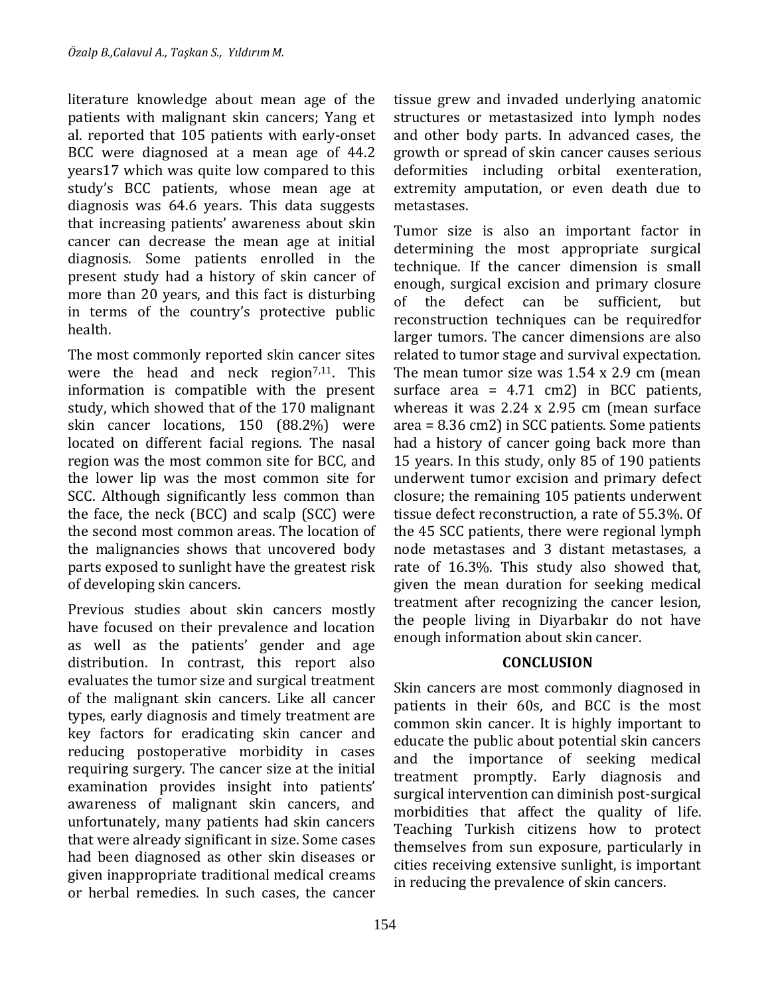literature knowledge about mean age of the patients with malignant skin cancers; Yang et al. reported that 105 patients with early-onset BCC were diagnosed at a mean age of 44.2 years17 which was quite low compared to this study's BCC patients, whose mean age at diagnosis was 64.6 years. This data suggests that increasing patients' awareness about skin cancer can decrease the mean age at initial diagnosis. Some patients enrolled in the present study had a history of skin cancer of more than 20 years, and this fact is disturbing in terms of the country's protective public health.

The most commonly reported skin cancer sites were the head and neck region<sup>7,11</sup>. This information is compatible with the present study, which showed that of the 170 malignant skin cancer locations, 150 (88.2%) were located on different facial regions. The nasal region was the most common site for BCC, and the lower lip was the most common site for SCC. Although significantly less common than the face, the neck (BCC) and scalp (SCC) were the second most common areas. The location of the malignancies shows that uncovered body parts exposed to sunlight have the greatest risk of developing skin cancers.

Previous studies about skin cancers mostly have focused on their prevalence and location as well as the patients' gender and age distribution. In contrast, this report also evaluates the tumor size and surgical treatment of the malignant skin cancers. Like all cancer types, early diagnosis and timely treatment are key factors for eradicating skin cancer and reducing postoperative morbidity in cases requiring surgery. The cancer size at the initial examination provides insight into patients' awareness of malignant skin cancers, and unfortunately, many patients had skin cancers that were already significant in size. Some cases had been diagnosed as other skin diseases or given inappropriate traditional medical creams or herbal remedies. In such cases, the cancer

tissue grew and invaded underlying anatomic structures or metastasized into lymph nodes and other body parts. In advanced cases, the growth or spread of skin cancer causes serious deformities including orbital exenteration, extremity amputation, or even death due to metastases.

Tumor size is also an important factor in determining the most appropriate surgical technique. If the cancer dimension is small enough, surgical excision and primary closure of the defect can be sufficient, but reconstruction techniques can be requiredfor larger tumors. The cancer dimensions are also related to tumor stage and survival expectation. The mean tumor size was 1.54 x 2.9 cm (mean surface area =  $4.71$  cm2) in BCC patients, whereas it was 2.24 x 2.95 cm (mean surface area = 8.36 cm2) in SCC patients. Some patients had a history of cancer going back more than 15 years. In this study, only 85 of 190 patients underwent tumor excision and primary defect closure; the remaining 105 patients underwent tissue defect reconstruction, a rate of 55.3%. Of the 45 SCC patients, there were regional lymph node metastases and 3 distant metastases, a rate of 16.3%. This study also showed that, given the mean duration for seeking medical treatment after recognizing the cancer lesion, the people living in Diyarbakır do not have enough information about skin cancer.

# **CONCLUSION**

Skin cancers are most commonly diagnosed in patients in their 60s, and BCC is the most common skin cancer. It is highly important to educate the public about potential skin cancers and the importance of seeking medical treatment promptly. Early diagnosis and surgical intervention can diminish post-surgical morbidities that affect the quality of life. Teaching Turkish citizens how to protect themselves from sun exposure, particularly in cities receiving extensive sunlight, is important in reducing the prevalence of skin cancers.